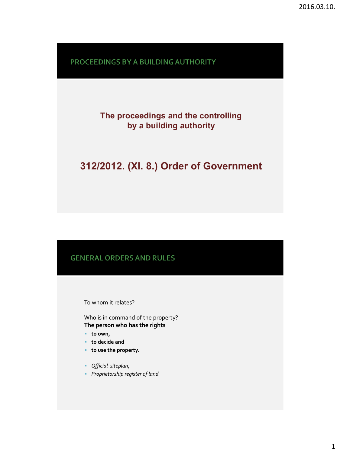PROCEEDINGS BY A BUILDING AUTHORITY

## **The proceedings and the controlling by a building authority**

# **312/2012. (XI. 8.) Order of Government**

#### **GENERAL ORDERS AND RULES**

To whom it relates?

Who is in command of the property? **The person who has the rights**

- **to own,**
- **to decide and**
- **to use the property.**
- *Official siteplan,*
- *Proprietorship register of land*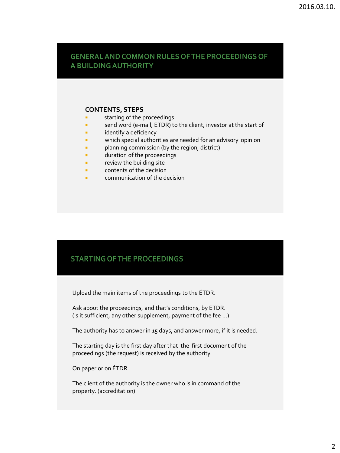#### GENERAL AND COMMON RULES OF THE PROCEEDINGS OF A BUILDING AUTHORITY

#### **CONTENTS, STEPS**

- **starting of the proceedings**
- send word (e-mail, ETDR) to the client, investor at the start of
- **E** identify a deficiency
- **EXECT** which special authorities are needed for an advisory opinion
- **Phanning commission (by the region, district)**
- **duration of the proceedings**
- **F** review the building site
- **Example 2** contents of the decision
- **EXECOMMUNICATION OF the decision**

### **STARTING OF THE PROCEEDINGS**

Upload the main items of the proceedings to the ÉTDR.

Ask about the proceedings, and that's conditions, by ÉTDR. (Is it sufficient, any other supplement, payment of the fee …)

The authority has to answer in 15 days, and answer more, if it is needed.

The starting day is the first day after that the first document of the proceedings (the request) is received by the authority.

On paper or on ÉTDR.

The client of the authority is the owner who is in command of the property. (accreditation)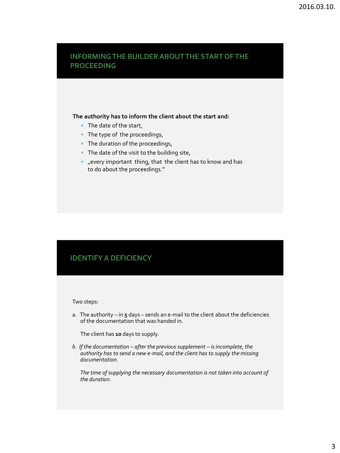#### **INFORMING THE BUILDER ABOUT THE START OF THE PROCEEDING**

#### **The authority has to inform the client about the start and:**

- The date of the start,
- The type of the proceedings,
- The duration of the proceedings,
- The date of the visit to the building site,
- "every important thing, that the client has to know and has to do about the proceedings."

## **IDENTIFY A DEFICIENCY**

#### Two steps:

a. The authority – in **5** days – sends an e-mail to the client about the deficiencies of the documentation that was handed in.

The client has **10** days to supply.

*b. If the documentation – after the previous supplement – is incomplete, the authority has to send a new e-mail, and the client has to supply the missing documentation.*

*The time of supplying the necessary documentation is not taken into account of the duration*.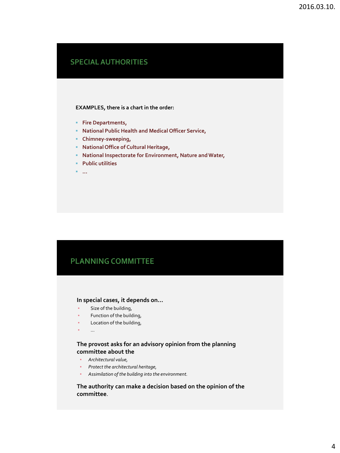## **SPECIAL AUTHORITIES**

#### **EXAMPLES, there is a chart in the order:**

- **Fire Departments,**
- **National Public Health and Medical Officer Service,**
- **Chimney-sweeping,**
- **National Office of Cultural Heritage,**
- **National Inspectorate for Environment, Nature and Water,**
- **Public utilities**
- **…**

## **PLANNING COMMITTEE**

#### **In special cases, it depends on…**

- Size of the building,
- Function of the building,
- Location of the building,
- …

#### **The provost asks for an advisory opinion from the planning committee about the**

- *Architectural value,*
- *Protect the architectural heritage,*
- *Assimilation of the building into the environment.*

#### **The authority can make a decision based on the opinion of the committee**.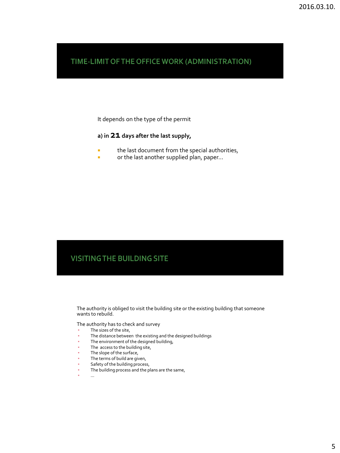### TIME-LIMIT OF THE OFFICE WORK (ADMINISTRATION)

It depends on the type of the permit

#### **a) in 21 days after the last supply,**

- **the last document from the special authorities,**
- or the last another supplied plan, paper...

## **VISITING THE BUILDING SITE**

The authority is obliged to visit the building site or the existing building that someone wants to rebuild.

The authority has to check and survey

- The sizes of the site,
- The distance between the existing and the designed buildings
- The environment of the designed building,
- The access to the building site,
- The slope of the surface,
- The terms of build are given,
- Safety of the building process,
- **•** The building process and the plans are the same,
- …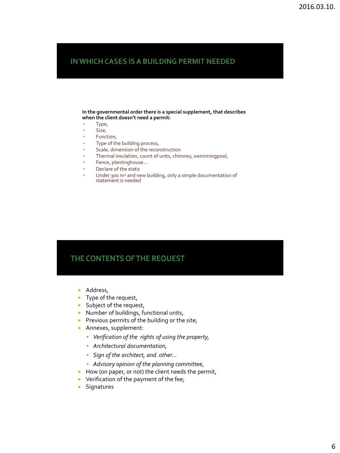### IN WHICH CASES IS A BUILDING PERMIT NEEDED

**In the governmental order there is a special supplement, that describes when the client doesn't need a permit:**

- Type,
- Size,
- Function,
- Type of the building process,
- Scale, dimension of the reconstruction
- Thermal insulation, count of units, chimney, swimmingpool,
- Fence, plantinghouse...
- Declare of the static
- Under 300 m<sup>2</sup> and new building, only a simple documentation of statement is needed

#### THE CONTENTS OF THE REQUEST

- **Address,**
- Type of the request,
- **Subject of the request,**
- **Number of buildings, functional units,**
- Previous permits of the building or the site;
- **Annexes, supplement:** 
	- *Verification of the rights of using the property,*
	- *Architectural documentation,*
	- *Sign of the architect, and other…*
	- *Advisory opinion of the planning committee*,
- How (on paper, or not) the client needs the permit,
- **•** Verification of the payment of the fee;
- **Signatures**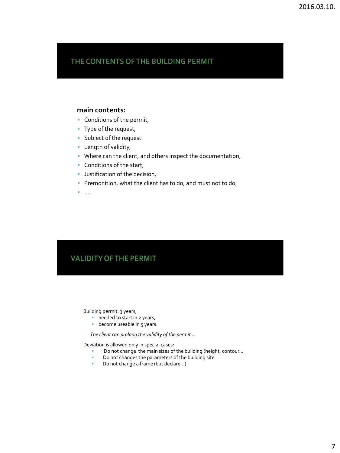## THE CONTENTS OF THE BUILDING PERMIT

#### **main contents:**

- **Conditions of the permit,**
- Type of the request,
- **Subject of the request**
- **Length of validity,**
- Where can the client, and others inspect the documentation,
- **Conditions of the start,**
- **Justification of the decision,**
- Premonition, what the client has to do, and must not to do,
- ….

### **VALIDITY OF THE PERMIT**

Building permit: 3 years,

- **needed to start in 2 years,**
- **become useable in 5 years.**

 *The client can prolong the validity of the permit …*

Deviation is allowed only in special cases:

- Do not change the main sizes of the building (height, contour...<br>■ Do not changes the parameters of the building site
- Do not changes the parameters of the building site
- Do not change a frame (but declare...)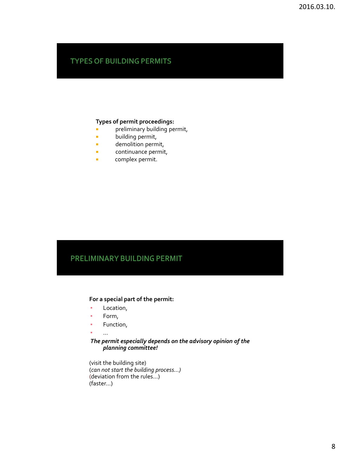### **TYPES OF BUILDING PERMITS**

#### **Types of permit proceedings:**

- **Philter-** preliminary building permit,
- **building permit,**
- **demolition permit,**
- **continuance permit,**
- **complex permit.**

#### PRELIMINARY BUILDING PERMIT

#### **For a special part of the permit:**

- Location,
- Form,
- Function,
- …

#### *The permit especially depends on the advisory opinion of the planning committee!*

(visit the building site) (*can not start the building process…)* (deviation from the rules…) (faster…)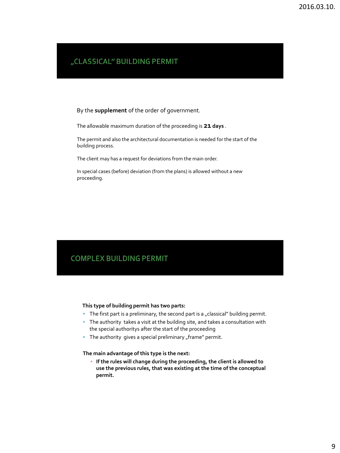### "CLASSICAL" BUILDING PERMIT

By the **supplement** of the order of government.

The allowable maximum duration of the proceeding is **21 days** .

The permit and also the architectural documentation is needed for the start of the building process.

The client may has a request for deviations from the main order.

In special cases (before) deviation (from the plans) is allowed without a new proceeding.

### **COMPLEX BUILDING PERMIT**

#### **This type of building permit has two parts:**

- The first part is a preliminary, the second part is a "classical" building permit.
- The authority takes a visit at the building site, and takes a consultation with the special authoritys after the start of the proceeding
- The authority gives a special preliminary "frame" permit.

#### **The main advantage of this type is the next:**

▪ **If the rules will change during the proceeding, the client is allowed to use the previous rules, that was existing at the time of the conceptual permit.**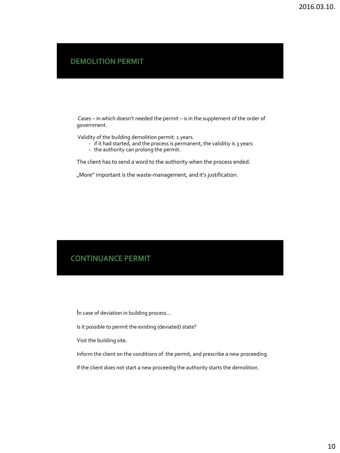**DEMOLITION PERMIT** 

Cases – in which doesn't needed the permit – is in the supplement of the order of government.

Validity of the building demolition permit: 1 years.

- if it had started, and the process is permanent, the validitiy is 3 years
- the authority can prolong the permit.

The client has to send a word to the authority when the process ended.

"More" important is the waste-management, and it's justification.

#### **CONTINUANCE PERMIT**

In case of deviation in building process…

Is it possible to permit the existing (deviated) state?

Visit the building site.

Inform the client on the conditions of the permit, and prescribe a new proceeding.

If the client does not start a new proceedig the authority starts the demolition.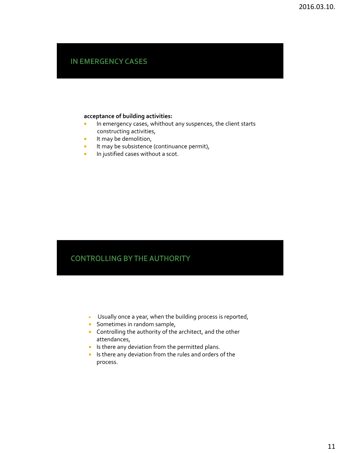## **IN EMERGENCY CASES**

#### **acceptance of building activities:**

- **In emergency cases, whithout any suspences, the client starts** constructing activities,
- $\blacksquare$  It may be demolition,
- **If may be subsistence (continuance permit),**
- **In justified cases without a scot.**

## **CONTROLLING BY THE AUTHORITY**

- Usually once a year, when the building process is reported,
- **Sometimes in random sample,**
- **Controlling the authority of the architect, and the other** attendances,
- **IF** Is there any deviation from the permitted plans.
- Is there any deviation from the rules and orders of the process.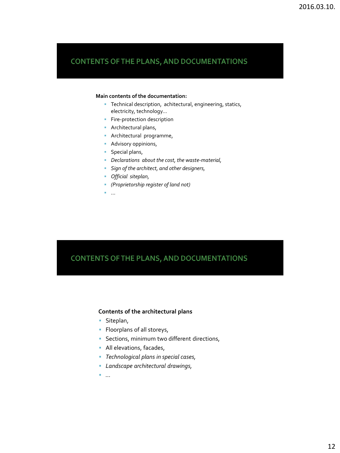#### **Main contents of the documentation:**

- **Technical description, achitectural, engineering, statics,** electricity, technology…
- **Fire-protection description**
- **Architectural plans,**
- **Architectural programme,**
- **Advisory oppinions,**
- **Special plans,**
- *Declarations about the cost, the waste-material,*
- *Sign of the architect, and other designers,*
- *Official siteplan,*
- *(Proprietorship register of land not)*
- …

### **CONTENTS OF THE PLANS, AND DOCUMENTATIONS**

#### **Contents of the architectural plans**

- **Siteplan,**
- **Floorplans of all storeys,**
- **Sections, minimum two different directions,**
- **All elevations, facades,**
- *Technological plans in special cases,*
- *Landscape architectural drawings,*
- *…*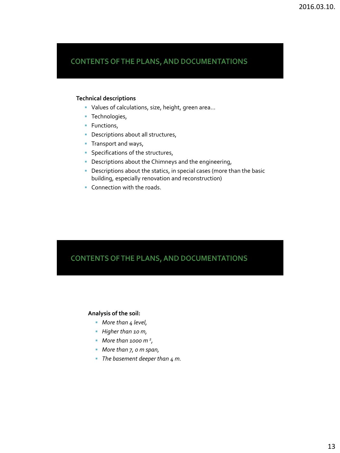#### **Technical descriptions**

- Values of calculations, size, height, green area…
- **Technologies,**
- **Functions,**
- **Descriptions about all structures,**
- Transport and ways,
- **Specifications of the structures,**
- Descriptions about the Chimneys and the engineering,
- **Descriptions about the statics, in special cases (more than the basic** building, especially renovation and reconstruction)
- **Connection with the roads.**

### **CONTENTS OF THE PLANS, AND DOCUMENTATIONS**

#### **Analysis of the soil:**

- *More than 4 level,*
- *Higher than 10 m,*
- *More than 1000 m <sup>2</sup> ,*
- *More than 7, 0 m span,*
- *The basement deeper than 4 m.*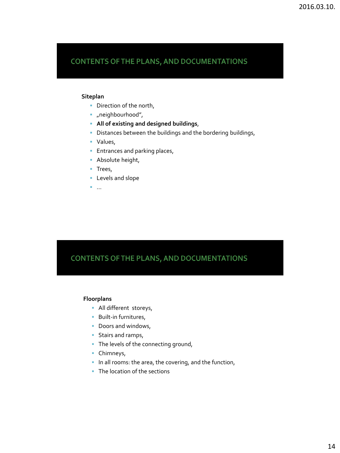#### **Siteplan**

- Direction of the north,
- "neighbourhood",
- **All of existing and designed buildings**,
- Distances between the buildings and the bordering buildings,
- Values,
- **Entrances and parking places,**
- **Absolute height,**
- Trees,
- **Levels and slope**
- ...

### CONTENTS OF THE PLANS, AND DOCUMENTATIONS

#### **Floorplans**

- **All different storeys,**
- **Built-in furnitures,**
- Doors and windows,
- **Stairs and ramps,**
- The levels of the connecting ground,
- **Chimneys,**
- In all rooms: the area, the covering, and the function,
- The location of the sections